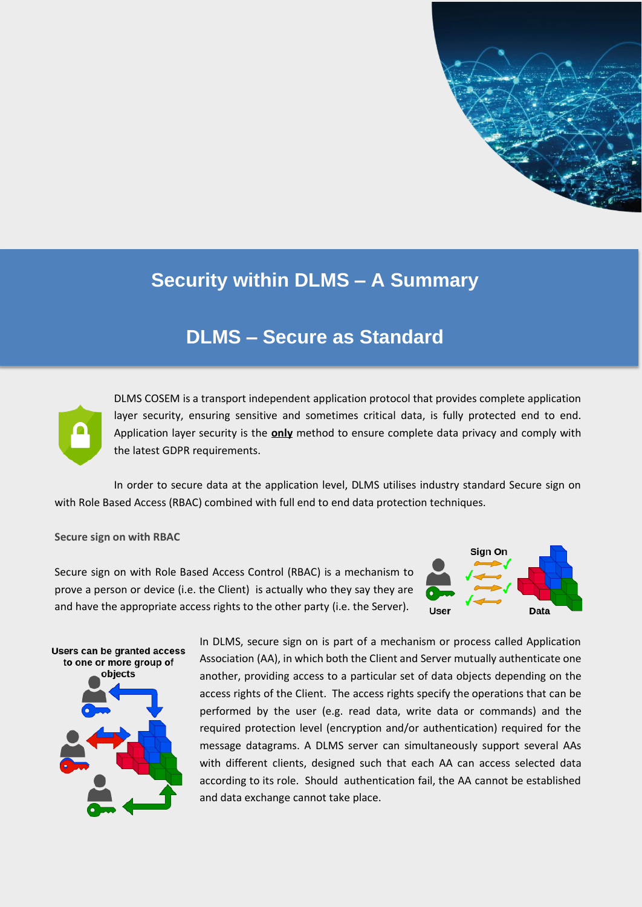

# **Security within DLMS – A Summary**

## **DLMS – Secure as Standard**



DLMS COSEM is a transport independent application protocol that provides complete application layer security, ensuring sensitive and sometimes critical data, is fully protected end to end. Application layer security is the **only** method to ensure complete data privacy and comply with the latest GDPR requirements.

In order to secure data at the application level, DLMS utilises industry standard Secure sign on with Role Based Access (RBAC) combined with full end to end data protection techniques.

#### **Secure sign on with RBAC**

Secure sign on with Role Based Access Control (RBAC) is a mechanism to prove a person or device (i.e. the Client) is actually who they say they are and have the appropriate access rights to the other party (i.e. the Server).





In DLMS, secure sign on is part of a mechanism or process called Application Association (AA), in which both the Client and Server mutually authenticate one another, providing access to a particular set of data objects depending on the access rights of the Client. The access rights specify the operations that can be performed by the user (e.g. read data, write data or commands) and the required protection level (encryption and/or authentication) required for the message datagrams. A DLMS server can simultaneously support several AAs with different clients, designed such that each AA can access selected data according to its role. Should authentication fail, the AA cannot be established and data exchange cannot take place.